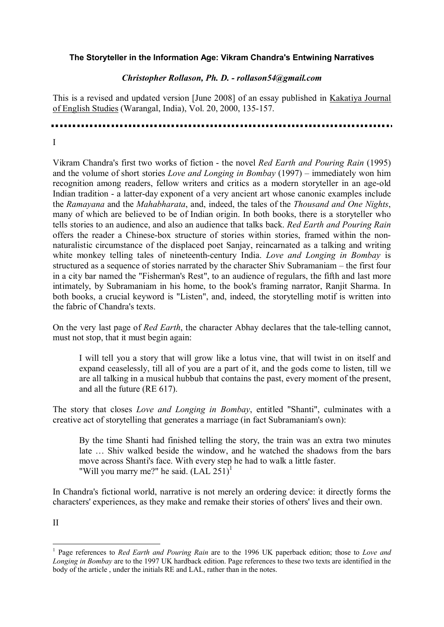## **The Storyteller in the Information Age: Vikram Chandra's Entwining Narratives**

### *Christopher Rollason, Ph. D. - rollason54@gmail.com*

This is a revised and updated version [June 2008] of an essay published in Kakatiya Journal of English Studies (Warangal, India), Vol. 20, 2000, 135-157.

I

Vikram Chandra's first two works of fiction - the novel *Red Earth and Pouring Rain* (1995) and the volume of short stories *Love and Longing in Bombay* (1997) – immediately won him recognition among readers, fellow writers and critics as a modern storyteller in an age-old Indian tradition - a latter-day exponent of a very ancient art whose canonic examples include the *Ramayana* and the *Mahabharata*, and, indeed, the tales of the *Thousand and One Nights*, many of which are believed to be of Indian origin. In both books, there is a storyteller who tells stories to an audience, and also an audience that talks back. *Red Earth and Pouring Rain*  offers the reader a Chinese-box structure of stories within stories, framed within the nonnaturalistic circumstance of the displaced poet Sanjay, reincarnated as a talking and writing white monkey telling tales of nineteenth-century India. *Love and Longing in Bombay* is structured as a sequence of stories narrated by the character Shiv Subramaniam – the first four in a city bar named the "Fisherman's Rest", to an audience of regulars, the fifth and last more intimately, by Subramaniam in his home, to the book's framing narrator, Ranjit Sharma. In both books, a crucial keyword is "Listen", and, indeed, the storytelling motif is written into the fabric of Chandra's texts.

On the very last page of *Red Earth*, the character Abhay declares that the tale-telling cannot, must not stop, that it must begin again:

I will tell you a story that will grow like a lotus vine, that will twist in on itself and expand ceaselessly, till all of you are a part of it, and the gods come to listen, till we are all talking in a musical hubbub that contains the past, every moment of the present, and all the future (RE 617).

The story that closes *Love and Longing in Bombay*, entitled "Shanti", culminates with a creative act of storytelling that generates a marriage (in fact Subramaniam's own):

By the time Shanti had finished telling the story, the train was an extra two minutes late … Shiv walked beside the window, and he watched the shadows from the bars move across Shanti's face. With every step he had to walk a little faster. "Will you marry me?" he said.  $(LAL 251)$  $(LAL 251)$  $(LAL 251)$ <sup>1</sup>

In Chandra's fictional world, narrative is not merely an ordering device: it directly forms the characters' experiences, as they make and remake their stories of others' lives and their own.

II

<span id="page-0-0"></span><sup>1</sup> 1 Page references to *Red Earth and Pouring Rain* are to the 1996 UK paperback edition; those to *Love and Longing in Bombay* are to the 1997 UK hardback edition. Page references to these two texts are identified in the body of the article , under the initials RE and LAL, rather than in the notes.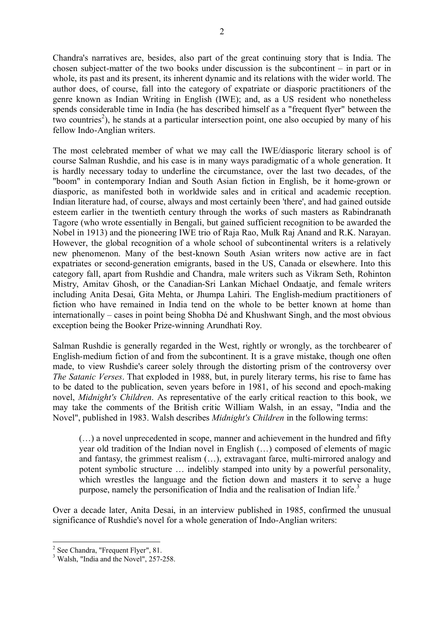Chandra's narratives are, besides, also part of the great continuing story that is India. The chosen subject-matter of the two books under discussion is the subcontinent – in part or in whole, its past and its present, its inherent dynamic and its relations with the wider world. The author does, of course, fall into the category of expatriate or diasporic practitioners of the genre known as Indian Writing in English (IWE); and, as a US resident who nonetheless spends considerable time in India (he has described himself as a "frequent flyer" between the two countries<sup>[2](#page-1-0)</sup>), he stands at a particular intersection point, one also occupied by many of his fellow Indo-Anglian writers.

The most celebrated member of what we may call the IWE/diasporic literary school is of course Salman Rushdie, and his case is in many ways paradigmatic of a whole generation. It is hardly necessary today to underline the circumstance, over the last two decades, of the "boom" in contemporary Indian and South Asian fiction in English, be it home-grown or diasporic, as manifested both in worldwide sales and in critical and academic reception. Indian literature had, of course, always and most certainly been 'there', and had gained outside esteem earlier in the twentieth century through the works of such masters as Rabindranath Tagore (who wrote essentially in Bengali, but gained sufficient recognition to be awarded the Nobel in 1913) and the pioneering IWE trio of Raja Rao, Mulk Raj Anand and R.K. Narayan. However, the global recognition of a whole school of subcontinental writers is a relatively new phenomenon. Many of the best-known South Asian writers now active are in fact expatriates or second-generation emigrants, based in the US, Canada or elsewhere. Into this category fall, apart from Rushdie and Chandra, male writers such as Vikram Seth, Rohinton Mistry, Amitav Ghosh, or the Canadian-Sri Lankan Michael Ondaatje, and female writers including Anita Desai, Gita Mehta, or Jhumpa Lahiri. The English-medium practitioners of fiction who have remained in India tend on the whole to be better known at home than internationally – cases in point being Shobha Dé and Khushwant Singh, and the most obvious exception being the Booker Prize-winning Arundhati Roy.

Salman Rushdie is generally regarded in the West, rightly or wrongly, as the torchbearer of English-medium fiction of and from the subcontinent. It is a grave mistake, though one often made, to view Rushdie's career solely through the distorting prism of the controversy over *The Satanic Verses*. That exploded in 1988, but, in purely literary terms, his rise to fame has to be dated to the publication, seven years before in 1981, of his second and epoch-making novel, *Midnight's Children*. As representative of the early critical reaction to this book, we may take the comments of the British critic William Walsh, in an essay, "India and the Novel", published in 1983. Walsh describes *Midnight's Children* in the following terms:

(…) a novel unprecedented in scope, manner and achievement in the hundred and fifty year old tradition of the Indian novel in English (…) composed of elements of magic and fantasy, the grimmest realism (…), extravagant farce, multi-mirrored analogy and potent symbolic structure … indelibly stamped into unity by a powerful personality, which wrestles the language and the fiction down and masters it to serve a huge purpose, namely the personification of India and the realisation of Indian life.<sup>[3](#page-1-1)</sup>

Over a decade later, Anita Desai, in an interview published in 1985, confirmed the unusual significance of Rushdie's novel for a whole generation of Indo-Anglian writers:

<span id="page-1-0"></span><sup>&</sup>lt;u>.</u> <sup>2</sup> See Chandra, "Frequent Flyer", 81.

<span id="page-1-1"></span><sup>&</sup>lt;sup>3</sup> Walsh, "India and the Novel", 257-258.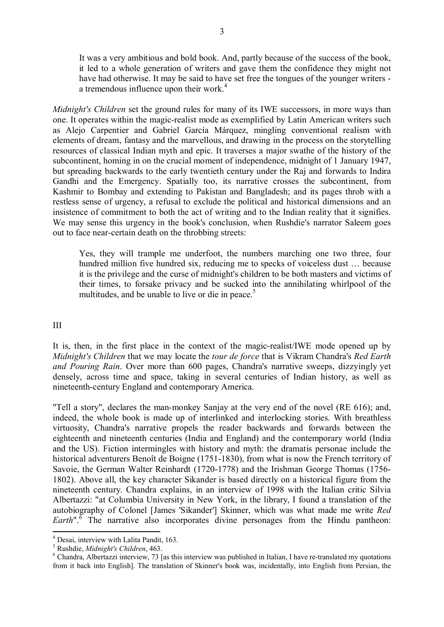It was a very ambitious and bold book. And, partly because of the success of the book, it led to a whole generation of writers and gave them the confidence they might not have had otherwise. It may be said to have set free the tongues of the younger writers - a tremendous influence upon their work.<sup>[4](#page-2-0)</sup>

*Midnight's Children* set the ground rules for many of its IWE successors, in more ways than one. It operates within the magic-realist mode as exemplified by Latin American writers such as Alejo Carpentier and Gabriel García Márquez, mingling conventional realism with elements of dream, fantasy and the marvellous, and drawing in the process on the storytelling resources of classical Indian myth and epic. It traverses a major swathe of the history of the subcontinent, homing in on the crucial moment of independence, midnight of 1 January 1947, but spreading backwards to the early twentieth century under the Raj and forwards to Indira Gandhi and the Emergency. Spatially too, its narrative crosses the subcontinent, from Kashmir to Bombay and extending to Pakistan and Bangladesh; and its pages throb with a restless sense of urgency, a refusal to exclude the political and historical dimensions and an insistence of commitment to both the act of writing and to the Indian reality that it signifies. We may sense this urgency in the book's conclusion, when Rushdie's narrator Saleem goes out to face near-certain death on the throbbing streets:

Yes, they will trample me underfoot, the numbers marching one two three, four hundred million five hundred six, reducing me to specks of voiceless dust … because it is the privilege and the curse of midnight's children to be both masters and victims of their times, to forsake privacy and be sucked into the annihilating whirlpool of the multitudes, and be unable to live or die in peace.<sup>[5](#page-2-1)</sup>

III

It is, then, in the first place in the context of the magic-realist/IWE mode opened up by *Midnight's Children* that we may locate the *tour de force* that is Vikram Chandra's *Red Earth and Pouring Rain*. Over more than 600 pages, Chandra's narrative sweeps, dizzyingly yet densely, across time and space, taking in several centuries of Indian history, as well as nineteenth-century England and contemporary America.

"Tell a story", declares the man-monkey Sanjay at the very end of the novel (RE 616); and, indeed, the whole book is made up of interlinked and interlocking stories. With breathless virtuosity, Chandra's narrative propels the reader backwards and forwards between the eighteenth and nineteenth centuries (India and England) and the contemporary world (India and the US). Fiction intermingles with history and myth: the dramatis personae include the historical adventurers Benoît de Boigne (1751-1830), from what is now the French territory of Savoie, the German Walter Reinhardt (1720-1778) and the Irishman George Thomas (1756- 1802). Above all, the key character Sikander is based directly on a historical figure from the nineteenth century. Chandra explains, in an interview of 1998 with the Italian critic Silvia Albertazzi: "at Columbia University in New York, in the library, I found a translation of the autobiography of Colonel [James 'Sikander'] Skinner, which was what made me write *Red Earth*<sup>" \*</sup> The narrative also incorporates divine personages from the Hindu pantheon:

<span id="page-2-0"></span> 4 Desai, interview with Lalita Pandit, 163.

<span id="page-2-1"></span><sup>5</sup> Rushdie, *Midnight's Children*, 463.

<span id="page-2-2"></span><sup>&</sup>lt;sup>6</sup> Chandra, Albertazzi interview, 73 [as this interview was published in Italian, I have re-translated my quotations from it back into English]. The translation of Skinner's book was, incidentally, into English from Persian, the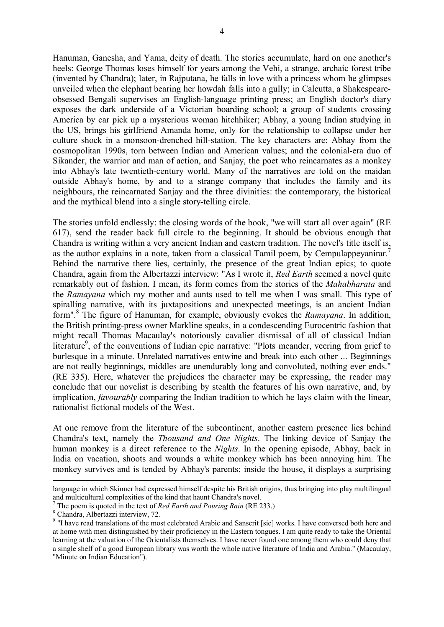Hanuman, Ganesha, and Yama, deity of death. The stories accumulate, hard on one another's heels: George Thomas loses himself for years among the Vehi, a strange, archaic forest tribe (invented by Chandra); later, in Rajputana, he falls in love with a princess whom he glimpses unveiled when the elephant bearing her howdah falls into a gully; in Calcutta, a Shakespeareobsessed Bengali supervises an English-language printing press; an English doctor's diary exposes the dark underside of a Victorian boarding school; a group of students crossing America by car pick up a mysterious woman hitchhiker; Abhay, a young Indian studying in the US, brings his girlfriend Amanda home, only for the relationship to collapse under her culture shock in a monsoon-drenched hill-station. The key characters are: Abhay from the cosmopolitan 1990s, torn between Indian and American values; and the colonial-era duo of Sikander, the warrior and man of action, and Sanjay, the poet who reincarnates as a monkey into Abhay's late twentieth-century world. Many of the narratives are told on the maidan outside Abhay's home, by and to a strange company that includes the family and its neighbours, the reincarnated Sanjay and the three divinities: the contemporary, the historical and the mythical blend into a single story-telling circle.

The stories unfold endlessly: the closing words of the book, "we will start all over again" (RE 617), send the reader back full circle to the beginning. It should be obvious enough that Chandra is writing within a very ancient Indian and eastern tradition. The novel's title itself is, as the author explains in a note, taken from a classical Tamil poem, by Cempulappeyanirar.<sup>[7](#page-3-0)</sup> Behind the narrative there lies, certainly, the presence of the great Indian epics; to quote Chandra, again from the Albertazzi interview: "As I wrote it, *Red Earth* seemed a novel quite remarkably out of fashion. I mean, its form comes from the stories of the *Mahabharata* and the *Ramayana* which my mother and aunts used to tell me when I was small. This type of spiralling narrative, with its juxtapositions and unexpected meetings, is an ancient Indian form". [8](#page-3-1) The figure of Hanuman, for example, obviously evokes the *Ramayana*. In addition, the British printing-press owner Markline speaks, in a condescending Eurocentric fashion that might recall Thomas Macaulay's notoriously cavalier dismissal of all of classical Indian literature<sup>[9](#page-3-2)</sup>, of the conventions of Indian epic narrative: "Plots meander, veering from grief to burlesque in a minute. Unrelated narratives entwine and break into each other ... Beginnings are not really beginnings, middles are unendurably long and convoluted, nothing ever ends." (RE 335). Here, whatever the prejudices the character may be expressing, the reader may conclude that our novelist is describing by stealth the features of his own narrative, and, by implication, *favourably* comparing the Indian tradition to which he lays claim with the linear, rationalist fictional models of the West.

At one remove from the literature of the subcontinent, another eastern presence lies behind Chandra's text, namely the *Thousand and One Nights*. The linking device of Sanjay the human monkey is a direct reference to the *Nights*. In the opening episode, Abhay, back in India on vacation, shoots and wounds a white monkey which has been annoying him. The monkey survives and is tended by Abhay's parents; inside the house, it displays a surprising

1

language in which Skinner had expressed himself despite his British origins, thus bringing into play multilingual and multicultural complexities of the kind that haunt Chandra's novel.

<span id="page-3-0"></span><sup>7</sup> The poem is quoted in the text of *Red Earth and Pouring Rain* (RE 233.)

<span id="page-3-1"></span><sup>8</sup> Chandra, Albertazzi interview, 72.

<span id="page-3-2"></span><sup>&</sup>lt;sup>9</sup> "I have read translations of the most celebrated Arabic and Sanscrit [sic] works. I have conversed both here and at home with men distinguished by their proficiency in the Eastern tongues. I am quite ready to take the Oriental learning at the valuation of the Orientalists themselves. I have never found one among them who could deny that a single shelf of a good European library was worth the whole native literature of India and Arabia." (Macaulay, "Minute on Indian Education").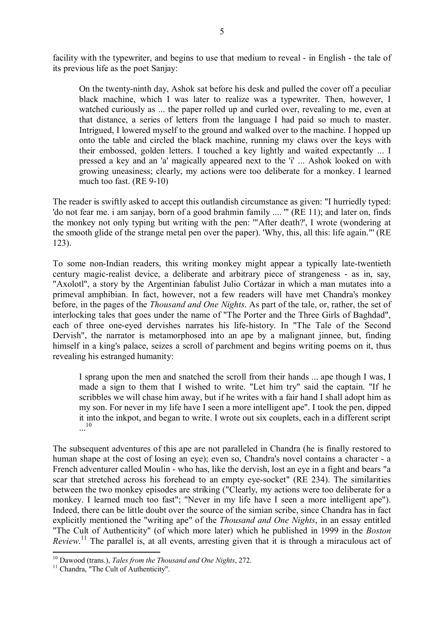facility with the typewriter, and begins to use that medium to reveal - in English - the tale of its previous life as the poet Sanjay:

On the twenty-ninth day, Ashok sat before his desk and pulled the cover off a peculiar black machine, which I was later to realize was a typewriter. Then, however, I watched curiously as ... the paper rolled up and curled over, revealing to me, even at that distance, a series of letters from the language I had paid so much to master. Intrigued, I lowered myself to the ground and walked over to the machine. I hopped up onto the table and circled the black machine, running my claws over the keys with their embossed, golden letters. I touched a key lightly and waited expectantly ... I pressed a key and an 'a' magically appeared next to the 'i' ... Ashok looked on with growing uneasiness; clearly, my actions were too deliberate for a monkey. I learned much too fast. (RE 9-10)

The reader is swiftly asked to accept this outlandish circumstance as given: "I hurriedly typed: 'do not fear me. i am sanjay, born of a good brahmin family .... '" (RE 11); and later on, finds the monkey not only typing but writing with the pen: '"After death?', I wrote (wondering at the smooth glide of the strange metal pen over the paper). 'Why, this, all this: life again."' (RE 123).

To some non-Indian readers, this writing monkey might appear a typically late-twentieth century magic-realist device, a deliberate and arbitrary piece of strangeness - as in, say, "Axolotl", a story by the Argentinian fabulist Julio Cortázar in which a man mutates into a primeval amphibian. In fact, however, not a few readers will have met Chandra's monkey before, in the pages of the *Thousand and One Nights*. As part of the tale, or, rather, the set of interlocking tales that goes under the name of "The Porter and the Three Girls of Baghdad", each of three one-eyed dervishes narrates his life-history. In "The Tale of the Second Dervish", the narrator is metamorphosed into an ape by a malignant jinnee, but, finding himself in a king's palace, seizes a scroll of parchment and begins writing poems on it, thus revealing his estranged humanity:

I sprang upon the men and snatched the scroll from their hands ... ape though I was, I made a sign to them that I wished to write. "Let him try" said the captain. "If he scribbles we will chase him away, but if he writes with a fair hand I shall adopt him as my son. For never in my life have I seen a more intelligent ape". I took the pen, dipped it into the inkpot, and began to write. I wrote out six couplets, each in a different script ... [10](#page-4-0)

The subsequent adventures of this ape are not paralleled in Chandra (he is finally restored to human shape at the cost of losing an eye); even so, Chandra's novel contains a character - a French adventurer called Moulin - who has, like the dervish, lost an eye in a fight and bears "a scar that stretched across his forehead to an empty eye-socket" (RE 234). The similarities between the two monkey episodes are striking ("Clearly, my actions were too deliberate for a monkey. I learned much too fast"; "Never in my life have I seen a more intelligent ape"). Indeed, there can be little doubt over the source of the simian scribe, since Chandra has in fact explicitly mentioned the "writing ape" of the *Thousand and One Nights*, in an essay entitled "The Cult of Authenticity" (of which more later) which he published in 1999 in the *Boston Review*. [11](#page-4-1) The parallel is, at all events, arresting given that it is through a miraculous act of

<u>.</u>

<span id="page-4-0"></span><sup>10</sup> Dawood (trans.), *Tales from the Thousand and One Nights*, 272.

<span id="page-4-1"></span><sup>&</sup>lt;sup>11</sup> Chandra, "The Cult of Authenticity".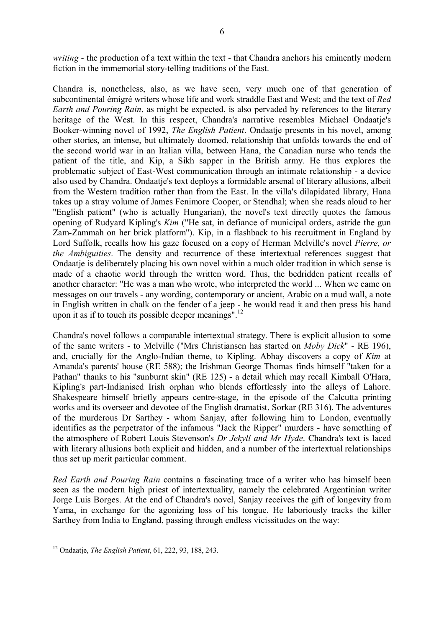*writing* - the production of a text within the text - that Chandra anchors his eminently modern fiction in the immemorial story-telling traditions of the East.

Chandra is, nonetheless, also, as we have seen, very much one of that generation of subcontinental émigré writers whose life and work straddle East and West; and the text of *Red Earth and Pouring Rain*, as might be expected, is also pervaded by references to the literary heritage of the West. In this respect, Chandra's narrative resembles Michael Ondaatje's Booker-winning novel of 1992, *The English Patient*. Ondaatje presents in his novel, among other stories, an intense, but ultimately doomed, relationship that unfolds towards the end of the second world war in an Italian villa, between Hana, the Canadian nurse who tends the patient of the title, and Kip, a Sikh sapper in the British army. He thus explores the problematic subject of East-West communication through an intimate relationship - a device also used by Chandra. Ondaatje's text deploys a formidable arsenal of literary allusions, albeit from the Western tradition rather than from the East. In the villa's dilapidated library, Hana takes up a stray volume of James Fenimore Cooper, or Stendhal; when she reads aloud to her "English patient" (who is actually Hungarian), the novel's text directly quotes the famous opening of Rudyard Kipling's *Kim* ("He sat, in defiance of municipal orders, astride the gun Zam-Zammah on her brick platform"). Kip, in a flashback to his recruitment in England by Lord Suffolk, recalls how his gaze focused on a copy of Herman Melville's novel *Pierre, or the Ambiguities*. The density and recurrence of these intertextual references suggest that Ondaatje is deliberately placing his own novel within a much older tradition in which sense is made of a chaotic world through the written word. Thus, the bedridden patient recalls of another character: "He was a man who wrote, who interpreted the world ... When we came on messages on our travels - any wording, contemporary or ancient, Arabic on a mud wall, a note in English written in chalk on the fender of a jeep - he would read it and then press his hand upon it as if to touch its possible deeper meanings".<sup>[12](#page-5-0)</sup>

Chandra's novel follows a comparable intertextual strategy. There is explicit allusion to some of the same writers - to Melville ("Mrs Christiansen has started on *Moby Dick*" - RE 196), and, crucially for the Anglo-Indian theme, to Kipling. Abhay discovers a copy of *Kim* at Amanda's parents' house (RE 588); the Irishman George Thomas finds himself "taken for a Pathan" thanks to his "sunburnt skin" (RE 125) - a detail which may recall Kimball O'Hara, Kipling's part-Indianised Irish orphan who blends effortlessly into the alleys of Lahore. Shakespeare himself briefly appears centre-stage, in the episode of the Calcutta printing works and its overseer and devotee of the English dramatist, Sorkar (RE 316). The adventures of the murderous Dr Sarthey - whom Sanjay, after following him to London, eventually identifies as the perpetrator of the infamous "Jack the Ripper" murders - have something of the atmosphere of Robert Louis Stevenson's *Dr Jekyll and Mr Hyde*. Chandra's text is laced with literary allusions both explicit and hidden, and a number of the intertextual relationships thus set up merit particular comment.

*Red Earth and Pouring Rain* contains a fascinating trace of a writer who has himself been seen as the modern high priest of intertextuality, namely the celebrated Argentinian writer Jorge Luis Borges. At the end of Chandra's novel, Sanjay receives the gift of longevity from Yama, in exchange for the agonizing loss of his tongue. He laboriously tracks the killer Sarthey from India to England, passing through endless vicissitudes on the way:

<u>.</u>

<span id="page-5-0"></span><sup>12</sup> Ondaatje, *The English Patient*, 61, 222, 93, 188, 243.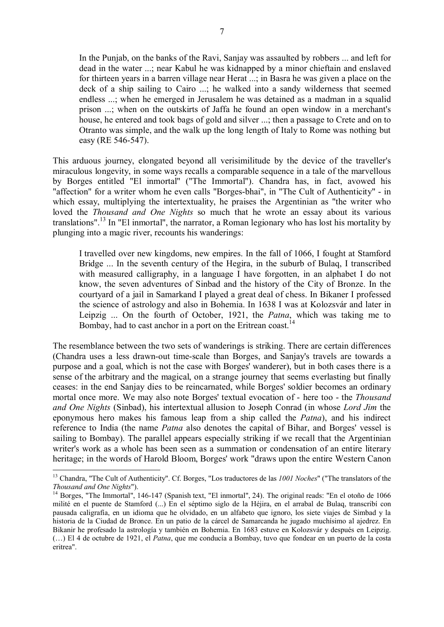In the Punjab, on the banks of the Ravi, Sanjay was assaulted by robbers ... and left for dead in the water ...; near Kabul he was kidnapped by a minor chieftain and enslaved for thirteen years in a barren village near Herat ...; in Basra he was given a place on the deck of a ship sailing to Cairo ...; he walked into a sandy wilderness that seemed endless ...; when he emerged in Jerusalem he was detained as a madman in a squalid prison ...; when on the outskirts of Jaffa he found an open window in a merchant's house, he entered and took bags of gold and silver ...; then a passage to Crete and on to Otranto was simple, and the walk up the long length of Italy to Rome was nothing but easy (RE 546-547).

This arduous journey, elongated beyond all verisimilitude by the device of the traveller's miraculous longevity, in some ways recalls a comparable sequence in a tale of the marvellous by Borges entitled "El inmortal" ("The Immortal"). Chandra has, in fact, avowed his "affection" for a writer whom he even calls "Borges-bhai", in "The Cult of Authenticity" - in which essay, multiplying the intertextuality, he praises the Argentinian as "the writer who loved the *Thousand and One Nights* so much that he wrote an essay about its various translations". [13](#page-6-0) In "El inmortal", the narrator, a Roman legionary who has lost his mortality by plunging into a magic river, recounts his wanderings:

I travelled over new kingdoms, new empires. In the fall of 1066, I fought at Stamford Bridge ... In the seventh century of the Hegira, in the suburb of Bulaq, I transcribed with measured calligraphy, in a language I have forgotten, in an alphabet I do not know, the seven adventures of Sinbad and the history of the City of Bronze. In the courtyard of a jail in Samarkand I played a great deal of chess. In Bikaner I professed the science of astrology and also in Bohemia. In 1638 I was at Kolozsvár and later in Leipzig ... On the fourth of October, 1921, the *Patna*, which was taking me to Bombay, had to cast anchor in a port on the Eritrean coast.

The resemblance between the two sets of wanderings is striking. There are certain differences (Chandra uses a less drawn-out time-scale than Borges, and Sanjay's travels are towards a purpose and a goal, which is not the case with Borges' wanderer), but in both cases there is a sense of the arbitrary and the magical, on a strange journey that seems everlasting but finally ceases: in the end Sanjay dies to be reincarnated, while Borges' soldier becomes an ordinary mortal once more. We may also note Borges' textual evocation of - here too - the *Thousand and One Nights* (Sinbad), his intertextual allusion to Joseph Conrad (in whose *Lord Jim* the eponymous hero makes his famous leap from a ship called the *Patna*), and his indirect reference to India (the name *Patna* also denotes the capital of Bihar, and Borges' vessel is sailing to Bombay). The parallel appears especially striking if we recall that the Argentinian writer's work as a whole has been seen as a summation or condensation of an entire literary heritage; in the words of Harold Bloom, Borges' work "draws upon the entire Western Canon

1

<span id="page-6-0"></span><sup>13</sup> Chandra, "The Cult of Authenticity". Cf. Borges, "Los traductores de las *1001 Noches*" ("The translators of the *Thousand and One Nights*").

<span id="page-6-1"></span><sup>&</sup>lt;sup>14</sup> Borges, "The Immortal", 146-147 (Spanish text, "El inmortal", 24). The original reads: "En el otoño de 1066 milité en el puente de Stamford (...) En el séptimo siglo de la Héjira, en el arrabal de Bulaq, transcribí con pausada caligrafía, en un idioma que he olvidado, en un alfabeto que ignoro, los siete viajes de Simbad y la historia de la Ciudad de Bronce. En un patio de la cárcel de Samarcanda he jugado muchísimo al ajedrez. En Bikanir he profesado la astrología y también en Bohemia. En 1683 estuve en Kolozsvár y después en Leipzig. (…) El 4 de octubre de 1921, el *Patna*, que me conducía a Bombay, tuvo que fondear en un puerto de la costa eritrea".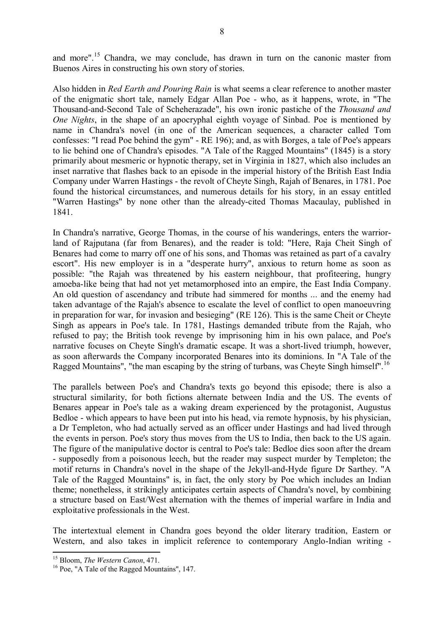and more".<sup>[15](#page-7-0)</sup> Chandra, we may conclude, has drawn in turn on the canonic master from Buenos Aires in constructing his own story of stories.

Also hidden in *Red Earth and Pouring Rain* is what seems a clear reference to another master of the enigmatic short tale, namely Edgar Allan Poe - who, as it happens, wrote, in "The Thousand-and-Second Tale of Scheherazade", his own ironic pastiche of the *Thousand and One Nights*, in the shape of an apocryphal eighth voyage of Sinbad. Poe is mentioned by name in Chandra's novel (in one of the American sequences, a character called Tom confesses: "I read Poe behind the gym" - RE 196); and, as with Borges, a tale of Poe's appears to lie behind one of Chandra's episodes. "A Tale of the Ragged Mountains" (1845) is a story primarily about mesmeric or hypnotic therapy, set in Virginia in 1827, which also includes an inset narrative that flashes back to an episode in the imperial history of the British East India Company under Warren Hastings - the revolt of Cheyte Singh, Rajah of Benares, in 1781. Poe found the historical circumstances, and numerous details for his story, in an essay entitled "Warren Hastings" by none other than the already-cited Thomas Macaulay, published in 1841.

In Chandra's narrative, George Thomas, in the course of his wanderings, enters the warriorland of Rajputana (far from Benares), and the reader is told: "Here, Raja Cheit Singh of Benares had come to marry off one of his sons, and Thomas was retained as part of a cavalry escort". His new employer is in a "desperate hurry", anxious to return home as soon as possible: "the Rajah was threatened by his eastern neighbour, that profiteering, hungry amoeba-like being that had not yet metamorphosed into an empire, the East India Company. An old question of ascendancy and tribute had simmered for months ... and the enemy had taken advantage of the Rajah's absence to escalate the level of conflict to open manoeuvring in preparation for war, for invasion and besieging" (RE 126). This is the same Cheit or Cheyte Singh as appears in Poe's tale. In 1781, Hastings demanded tribute from the Rajah, who refused to pay; the British took revenge by imprisoning him in his own palace, and Poe's narrative focuses on Cheyte Singh's dramatic escape. It was a short-lived triumph, however, as soon afterwards the Company incorporated Benares into its dominions. In "A Tale of the Ragged Mountains", "the man escaping by the string of turbans, was Cheyte Singh himself".<sup>[16](#page-7-1)</sup>

The parallels between Poe's and Chandra's texts go beyond this episode; there is also a structural similarity, for both fictions alternate between India and the US. The events of Benares appear in Poe's tale as a waking dream experienced by the protagonist, Augustus Bedloe - which appears to have been put into his head, via remote hypnosis, by his physician, a Dr Templeton, who had actually served as an officer under Hastings and had lived through the events in person. Poe's story thus moves from the US to India, then back to the US again. The figure of the manipulative doctor is central to Poe's tale: Bedloe dies soon after the dream - supposedly from a poisonous leech, but the reader may suspect murder by Templeton; the motif returns in Chandra's novel in the shape of the Jekyll-and-Hyde figure Dr Sarthey. "A Tale of the Ragged Mountains" is, in fact, the only story by Poe which includes an Indian theme; nonetheless, it strikingly anticipates certain aspects of Chandra's novel, by combining a structure based on East/West alternation with the themes of imperial warfare in India and exploitative professionals in the West.

The intertextual element in Chandra goes beyond the older literary tradition, Eastern or Western, and also takes in implicit reference to contemporary Anglo-Indian writing -

<span id="page-7-0"></span><sup>&</sup>lt;u>.</u> <sup>15</sup> Bloom, *The Western Canon*, 471.

<span id="page-7-1"></span><sup>16</sup> Poe, "A Tale of the Ragged Mountains", 147.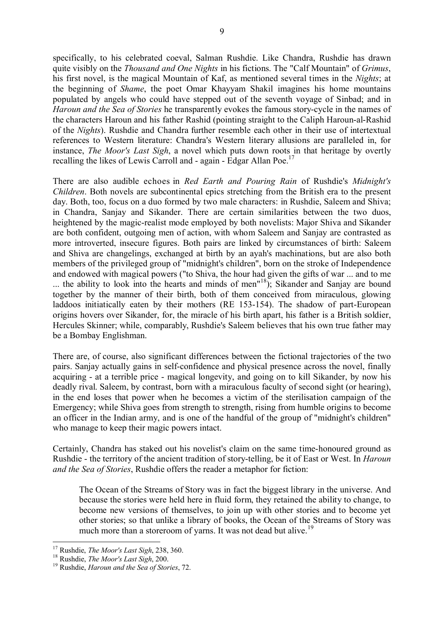specifically, to his celebrated coeval, Salman Rushdie. Like Chandra, Rushdie has drawn quite visibly on the *Thousand and One Nights* in his fictions. The "Calf Mountain" of *Grimus*, his first novel, is the magical Mountain of Kaf, as mentioned several times in the *Nights*; at the beginning of *Shame*, the poet Omar Khayyam Shakil imagines his home mountains populated by angels who could have stepped out of the seventh voyage of Sinbad; and in *Haroun and the Sea of Stories* he transparently evokes the famous story-cycle in the names of the characters Haroun and his father Rashid (pointing straight to the Caliph Haroun-al-Rashid of the *Nights*). Rushdie and Chandra further resemble each other in their use of intertextual references to Western literature: Chandra's Western literary allusions are paralleled in, for instance, *The Moor's Last Sigh*, a novel which puts down roots in that heritage by overtly recalling the likes of Lewis Carroll and - again - Edgar Allan Poe.<sup>[17](#page-8-0)</sup>

There are also audible echoes in *Red Earth and Pouring Rain* of Rushdie's *Midnight's Children*. Both novels are subcontinental epics stretching from the British era to the present day. Both, too, focus on a duo formed by two male characters: in Rushdie, Saleem and Shiva; in Chandra, Sanjay and Sikander. There are certain similarities between the two duos, heightened by the magic-realist mode employed by both novelists: Major Shiva and Sikander are both confident, outgoing men of action, with whom Saleem and Sanjay are contrasted as more introverted, insecure figures. Both pairs are linked by circumstances of birth: Saleem and Shiva are changelings, exchanged at birth by an ayah's machinations, but are also both members of the privileged group of "midnight's children", born on the stroke of Independence and endowed with magical powers ("to Shiva, the hour had given the gifts of war ... and to me ... the ability to look into the hearts and minds of men<sup>[18](#page-8-1)</sup>); Sikander and Sanjay are bound together by the manner of their birth, both of them conceived from miraculous, glowing laddoos initiatically eaten by their mothers (RE 153-154). The shadow of part-European origins hovers over Sikander, for, the miracle of his birth apart, his father is a British soldier, Hercules Skinner; while, comparably, Rushdie's Saleem believes that his own true father may be a Bombay Englishman.

There are, of course, also significant differences between the fictional trajectories of the two pairs. Sanjay actually gains in self-confidence and physical presence across the novel, finally acquiring - at a terrible price - magical longevity, and going on to kill Sikander, by now his deadly rival. Saleem, by contrast, born with a miraculous faculty of second sight (or hearing), in the end loses that power when he becomes a victim of the sterilisation campaign of the Emergency; while Shiva goes from strength to strength, rising from humble origins to become an officer in the Indian army, and is one of the handful of the group of "midnight's children" who manage to keep their magic powers intact.

Certainly, Chandra has staked out his novelist's claim on the same time-honoured ground as Rushdie - the territory of the ancient tradition of story-telling, be it of East or West. In *Haroun and the Sea of Stories*, Rushdie offers the reader a metaphor for fiction:

The Ocean of the Streams of Story was in fact the biggest library in the universe. And because the stories were held here in fluid form, they retained the ability to change, to become new versions of themselves, to join up with other stories and to become yet other stories; so that unlike a library of books, the Ocean of the Streams of Story was much more than a storeroom of yarns. It was not dead but alive.<sup>[19](#page-8-2)</sup>

<u>.</u>

<sup>17</sup> Rushdie, *The Moor's Last Sigh*, 238, 360.

<span id="page-8-1"></span><span id="page-8-0"></span><sup>18</sup> Rushdie, *The Moor's Last Sigh*, 200.

<span id="page-8-2"></span><sup>19</sup> Rushdie, *Haroun and the Sea of Stories*, 72.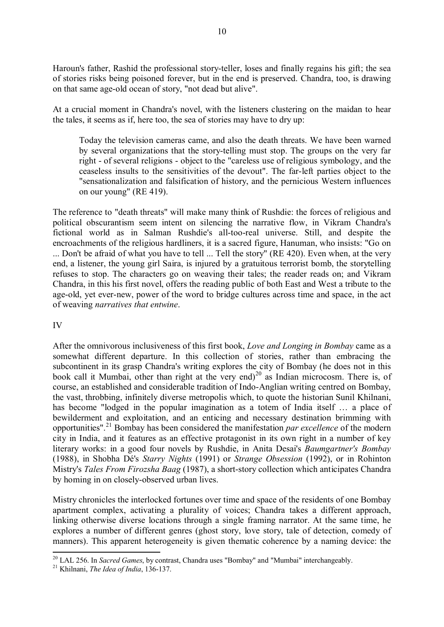Haroun's father, Rashid the professional story-teller, loses and finally regains his gift; the sea of stories risks being poisoned forever, but in the end is preserved. Chandra, too, is drawing on that same age-old ocean of story, "not dead but alive".

At a crucial moment in Chandra's novel, with the listeners clustering on the maidan to hear the tales, it seems as if, here too, the sea of stories may have to dry up:

Today the television cameras came, and also the death threats. We have been warned by several organizations that the story-telling must stop. The groups on the very far right - of several religions - object to the "careless use of religious symbology, and the ceaseless insults to the sensitivities of the devout". The far-left parties object to the "sensationalization and falsification of history, and the pernicious Western influences on our young" (RE 419).

The reference to "death threats" will make many think of Rushdie: the forces of religious and political obscurantism seem intent on silencing the narrative flow, in Vikram Chandra's fictional world as in Salman Rushdie's all-too-real universe. Still, and despite the encroachments of the religious hardliners, it is a sacred figure, Hanuman, who insists: "Go on ... Don't be afraid of what you have to tell ... Tell the story" (RE 420). Even when, at the very end, a listener, the young girl Saira, is injured by a gratuitous terrorist bomb, the storytelling refuses to stop. The characters go on weaving their tales; the reader reads on; and Vikram Chandra, in this his first novel, offers the reading public of both East and West a tribute to the age-old, yet ever-new, power of the word to bridge cultures across time and space, in the act of weaving *narratives that entwine*.

IV

After the omnivorous inclusiveness of this first book, *Love and Longing in Bombay* came as a somewhat different departure. In this collection of stories, rather than embracing the subcontinent in its grasp Chandra's writing explores the city of Bombay (he does not in this book call it Mumbai, other than right at the very end)<sup>[20](#page-9-0)</sup> as Indian microcosm. There is, of course, an established and considerable tradition of Indo-Anglian writing centred on Bombay, the vast, throbbing, infinitely diverse metropolis which, to quote the historian Sunil Khilnani, has become "lodged in the popular imagination as a totem of India itself … a place of bewilderment and exploitation, and an enticing and necessary destination brimming with opportunities". [21](#page-9-1) Bombay has been considered the manifestation *par excellence* of the modern city in India, and it features as an effective protagonist in its own right in a number of key literary works: in a good four novels by Rushdie, in Anita Desai's *Baumgartner's Bombay* (1988), in Shobha Dé's *Starry Nights* (1991) or *Strange Obsession* (1992), or in Rohinton Mistry's *Tales From Firozsha Baag* (1987), a short-story collection which anticipates Chandra by homing in on closely-observed urban lives.

Mistry chronicles the interlocked fortunes over time and space of the residents of one Bombay apartment complex, activating a plurality of voices; Chandra takes a different approach, linking otherwise diverse locations through a single framing narrator. At the same time, he explores a number of different genres (ghost story, love story, tale of detection, comedy of manners). This apparent heterogeneity is given thematic coherence by a naming device: the

<span id="page-9-0"></span><sup>&</sup>lt;u>.</u> <sup>20</sup> LAL 256. In *Sacred Games*, by contrast, Chandra uses "Bombay" and "Mumbai" interchangeably.

<span id="page-9-1"></span><sup>21</sup> Khilnani, *The Idea of India*, 136-137.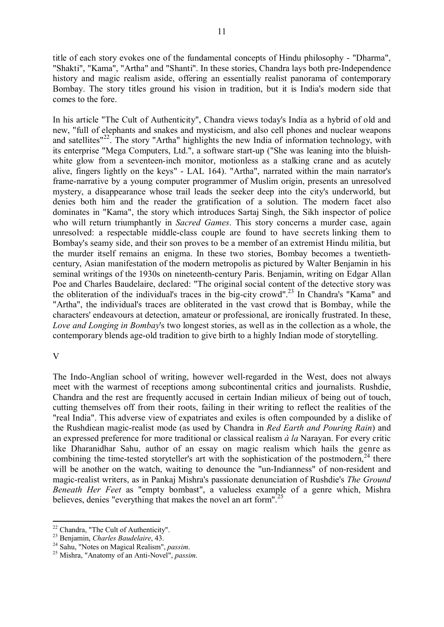title of each story evokes one of the fundamental concepts of Hindu philosophy - "Dharma", "Shakti", "Kama", "Artha" and "Shanti". In these stories, Chandra lays both pre-Independence history and magic realism aside, offering an essentially realist panorama of contemporary Bombay. The story titles ground his vision in tradition, but it is India's modern side that comes to the fore.

In his article "The Cult of Authenticity", Chandra views today's India as a hybrid of old and new, "full of elephants and snakes and mysticism, and also cell phones and nuclear weapons and satellites"<sup>[22](#page-10-0)</sup>. The story "Artha" highlights the new India of information technology, with its enterprise "Mega Computers, Ltd.", a software start-up ("She was leaning into the bluishwhite glow from a seventeen-inch monitor, motionless as a stalking crane and as acutely alive, fingers lightly on the keys" - LAL 164). "Artha", narrated within the main narrator's frame-narrative by a young computer programmer of Muslim origin, presents an unresolved mystery, a disappearance whose trail leads the seeker deep into the city's underworld, but denies both him and the reader the gratification of a solution. The modern facet also dominates in "Kama", the story which introduces Sartaj Singh, the Sikh inspector of police who will return triumphantly in *Sacred Games*. This story concerns a murder case, again unresolved: a respectable middle-class couple are found to have secrets linking them to Bombay's seamy side, and their son proves to be a member of an extremist Hindu militia, but the murder itself remains an enigma. In these two stories, Bombay becomes a twentiethcentury, Asian manifestation of the modern metropolis as pictured by Walter Benjamin in his seminal writings of the 1930s on nineteenth-century Paris. Benjamin, writing on Edgar Allan Poe and Charles Baudelaire, declared: "The original social content of the detective story was the obliteration of the individual's traces in the big-city crowd".<sup>[23](#page-10-1)</sup> In Chandra's "Kama" and "Artha", the individual's traces are obliterated in the vast crowd that is Bombay, while the characters' endeavours at detection, amateur or professional, are ironically frustrated. In these, *Love and Longing in Bombay*'s two longest stories, as well as in the collection as a whole, the contemporary blends age-old tradition to give birth to a highly Indian mode of storytelling.

### V

The Indo-Anglian school of writing, however well-regarded in the West, does not always meet with the warmest of receptions among subcontinental critics and journalists. Rushdie, Chandra and the rest are frequently accused in certain Indian milieux of being out of touch, cutting themselves off from their roots, failing in their writing to reflect the realities of the "real India". This adverse view of expatriates and exiles is often compounded by a dislike of the Rushdiean magic-realist mode (as used by Chandra in *Red Earth and Pouring Rain*) and an expressed preference for more traditional or classical realism *à la* Narayan. For every critic like Dharanidhar Sahu, author of an essay on magic realism which hails the genre as combining the time-tested storyteller's art with the sophistication of the postmodern,<sup>[24](#page-10-2)</sup> there will be another on the watch, waiting to denounce the "un-Indianness" of non-resident and magic-realist writers, as in Pankaj Mishra's passionate denunciation of Rushdie's *The Ground Beneath Her Feet* as "empty bombast", a valueless example of a genre which, Mishra believes, denies "everything that makes the novel an art form".<sup>[25](#page-10-3)</sup>

<span id="page-10-0"></span><sup>&</sup>lt;u>.</u> <sup>22</sup> Chandra, "The Cult of Authenticity".

<span id="page-10-2"></span><span id="page-10-1"></span><sup>23</sup> Benjamin, *Charles Baudelaire*, 43.

<sup>24</sup> Sahu, "Notes on Magical Realism", *passim*.

<span id="page-10-3"></span><sup>25</sup> Mishra, "Anatomy of an Anti-Novel", *passim*.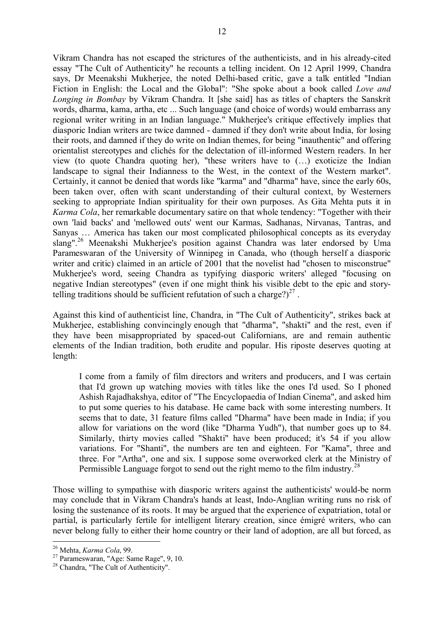Vikram Chandra has not escaped the strictures of the authenticists, and in his already-cited essay "The Cult of Authenticity" he recounts a telling incident. On 12 April 1999, Chandra says, Dr Meenakshi Mukherjee, the noted Delhi-based critic, gave a talk entitled "Indian Fiction in English: the Local and the Global": "She spoke about a book called *Love and Longing in Bombay* by Vikram Chandra. It [she said] has as titles of chapters the Sanskrit words, dharma, kama, artha, etc ... Such language (and choice of words) would embarrass any regional writer writing in an Indian language." Mukherjee's critique effectively implies that diasporic Indian writers are twice damned - damned if they don't write about India, for losing their roots, and damned if they do write on Indian themes, for being "inauthentic" and offering orientalist stereotypes and clichés for the delectation of ill-informed Western readers. In her view (to quote Chandra quoting her), "these writers have to (…) exoticize the Indian landscape to signal their Indianness to the West, in the context of the Western market". Certainly, it cannot be denied that words like "karma" and "dharma" have, since the early 60s, been taken over, often with scant understanding of their cultural context, by Westerners seeking to appropriate Indian spirituality for their own purposes. As Gita Mehta puts it in *Karma Cola*, her remarkable documentary satire on that whole tendency: "Together with their own 'laid backs' and 'mellowed outs' went our Karmas, Sadhanas, Nirvanas, Tantras, and Sanyas … America has taken our most complicated philosophical concepts as its everyday slang". [26](#page-11-0) Meenakshi Mukherjee's position against Chandra was later endorsed by Uma Parameswaran of the University of Winnipeg in Canada, who (though herself a diasporic writer and critic) claimed in an article of 2001 that the novelist had "chosen to misconstrue" Mukherjee's word, seeing Chandra as typifying diasporic writers' alleged "focusing on negative Indian stereotypes" (even if one might think his visible debt to the epic and storytelling traditions should be sufficient refutation of such a charge?) $2^7$ .

Against this kind of authenticist line, Chandra, in "The Cult of Authenticity", strikes back at Mukherjee, establishing convincingly enough that "dharma", "shakti" and the rest, even if they have been misappropriated by spaced-out Californians, are and remain authentic elements of the Indian tradition, both erudite and popular. His riposte deserves quoting at length:

I come from a family of film directors and writers and producers, and I was certain that I'd grown up watching movies with titles like the ones I'd used. So I phoned Ashish Rajadhakshya, editor of "The Encyclopaedia of Indian Cinema", and asked him to put some queries to his database. He came back with some interesting numbers. It seems that to date, 31 feature films called "Dharma" have been made in India; if you allow for variations on the word (like "Dharma Yudh"), that number goes up to 84. Similarly, thirty movies called "Shakti" have been produced; it's 54 if you allow variations. For "Shanti", the numbers are ten and eighteen. For "Kama", three and three. For "Artha", one and six. I suppose some overworked clerk at the Ministry of Permissible Language forgot to send out the right memo to the film industry.<sup>[28](#page-11-2)</sup>

Those willing to sympathise with diasporic writers against the authenticists' would-be norm may conclude that in Vikram Chandra's hands at least, Indo-Anglian writing runs no risk of losing the sustenance of its roots. It may be argued that the experience of expatriation, total or partial, is particularly fertile for intelligent literary creation, since émigré writers, who can never belong fully to either their home country or their land of adoption, are all but forced, as

<sup>&</sup>lt;u>.</u> <sup>26</sup> Mehta, *Karma Cola*, 99.

<span id="page-11-1"></span><span id="page-11-0"></span><sup>27</sup> Parameswaran, "Age: Same Rage", 9, 10.

<span id="page-11-2"></span><sup>&</sup>lt;sup>28</sup> Chandra, "The Cult of Authenticity".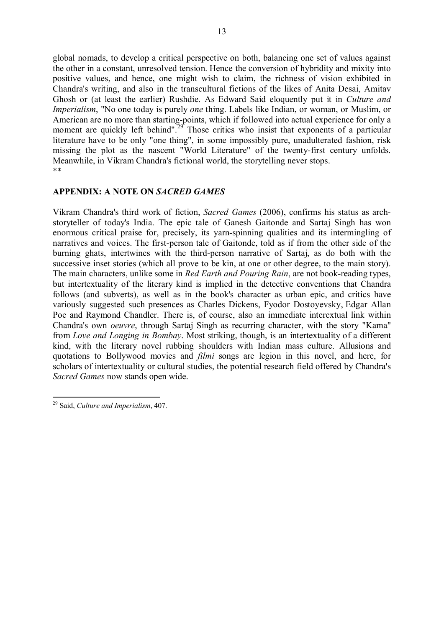global nomads, to develop a critical perspective on both, balancing one set of values against the other in a constant, unresolved tension. Hence the conversion of hybridity and mixity into positive values, and hence, one might wish to claim, the richness of vision exhibited in Chandra's writing, and also in the transcultural fictions of the likes of Anita Desai, Amitav Ghosh or (at least the earlier) Rushdie. As Edward Said eloquently put it in *Culture and Imperialism*, "No one today is purely *one* thing. Labels like Indian, or woman, or Muslim, or American are no more than starting-points, which if followed into actual experience for only a moment are quickly left behind".<sup>[29](#page-12-0)</sup> Those critics who insist that exponents of a particular literature have to be only "one thing", in some impossibly pure, unadulterated fashion, risk missing the plot as the nascent "World Literature" of the twenty-first century unfolds. Meanwhile, in Vikram Chandra's fictional world, the storytelling never stops. \*\*

# **APPENDIX: A NOTE ON** *SACRED GAMES*

Vikram Chandra's third work of fiction, *Sacred Games* (2006), confirms his status as archstoryteller of today's India. The epic tale of Ganesh Gaitonde and Sartaj Singh has won enormous critical praise for, precisely, its yarn-spinning qualities and its intermingling of narratives and voices. The first-person tale of Gaitonde, told as if from the other side of the burning ghats, intertwines with the third-person narrative of Sartaj, as do both with the successive inset stories (which all prove to be kin, at one or other degree, to the main story). The main characters, unlike some in *Red Earth and Pouring Rain*, are not book-reading types, but intertextuality of the literary kind is implied in the detective conventions that Chandra follows (and subverts), as well as in the book's character as urban epic, and critics have variously suggested such presences as Charles Dickens, Fyodor Dostoyevsky, Edgar Allan Poe and Raymond Chandler. There is, of course, also an immediate interextual link within Chandra's own *oeuvre*, through Sartaj Singh as recurring character, with the story "Kama" from *Love and Longing in Bombay*. Most striking, though, is an intertextuality of a different kind, with the literary novel rubbing shoulders with Indian mass culture. Allusions and quotations to Bollywood movies and *filmi* songs are legion in this novel, and here, for scholars of intertextuality or cultural studies, the potential research field offered by Chandra's *Sacred Games* now stands open wide.

<span id="page-12-0"></span><sup>&</sup>lt;u>.</u> <sup>29</sup> Said, *Culture and Imperialism*, 407.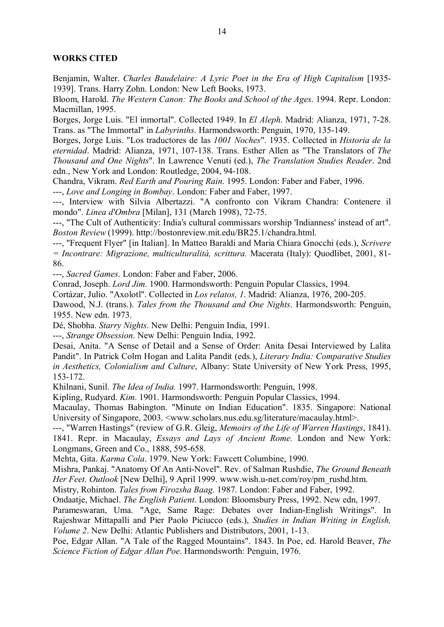#### **WORKS CITED**

Benjamin, Walter. *Charles Baudelaire: A Lyric Poet in the Era of High Capitalism* [1935- 1939]. Trans. Harry Zohn. London: New Left Books, 1973.

Bloom, Harold. *The Western Canon: The Books and School of the Ages*. 1994. Repr. London: Macmillan, 1995.

Borges, Jorge Luis. "El inmortal". Collected 1949. In *El Aleph*. Madrid: Alianza, 1971, 7-28. Trans. as "The Immortal" in *Labyrinths*. Harmondsworth: Penguin, 1970, 135-149.

Borges, Jorge Luis. "Los traductores de las *1001 Noches*". 1935. Collected in *Historia de la eternidad*. Madrid: Alianza, 1971, 107-138. Trans. Esther Allen as "The Translators of *The Thousand and One Nights*". In Lawrence Venuti (ed.), *The Translation Studies Reader*. 2nd edn., New York and London: Routledge, 2004, 94-108.

Chandra, Vikram. *Red Earth and Pouring Rain*. 1995. London: Faber and Faber, 1996.

---, *Love and Longing in Bombay*. London: Faber and Faber, 1997.

---, Interview with Silvia Albertazzi. "A confronto con Vikram Chandra: Contenere il mondo". *Linea d'Ombra* [Milan], 131 (March 1998), 72-75.

---, "The Cult of Authenticity: India's cultural commissars worship 'Indianness' instead of art". *Boston Review* (1999). http://bostonreview.mit.edu/BR25.1/chandra.html.

---, "Frequent Flyer" [in Italian]. In Matteo Baraldi and Maria Chiara Gnocchi (eds.), *Scrivere = Incontrare: Migrazione, multiculturalità, scrittura.* Macerata (Italy): Quodlibet, 2001, 81- 86.

---, *Sacred Games*. London: Faber and Faber, 2006.

Conrad, Joseph. *Lord Jim.* 1900. Harmondsworth: Penguin Popular Classics, 1994.

Cortázar, Julio. "Axolotl". Collected in *Los relatos, 1*. Madrid: Alianza, 1976, 200-205.

Dawood, N.J. (trans.). *Tales from the Thousand and One Nights*. Harmondsworth: Penguin, 1955. New edn. 1973.

Dé, Shobha. *Starry Nights*. New Delhi: Penguin India, 1991.

---, *Strange Obsession*. New Delhi: Penguin India, 1992.

Desai, Anita. "A Sense of Detail and a Sense of Order: Anita Desai Interviewed by Lalita Pandit". In Patrick Colm Hogan and Lalita Pandit (eds.), *Literary India: Comparative Studies in Aesthetics, Colonialism and Culture*, Albany: State University of New York Press, 1995, 153-172.

Khilnani, Sunil. *The Idea of India.* 1997. Harmondsworth: Penguin, 1998.

Kipling, Rudyard. *Kim*. 1901. Harmondsworth: Penguin Popular Classics, 1994.

Macaulay, Thomas Babington. "Minute on Indian Education". 1835. Singapore: National University of Singapore, 2003. <www.scholars.nus.edu.sg/literature/macaulay.html>.

---, "Warren Hastings" (review of G.R. Gleig, *Memoirs of the Life of Warren Hastings*, 1841). 1841. Repr. in Macaulay, *Essays and Lays of Ancient Rome.* London and New York: Longmans, Green and Co., 1888, 595-658.

Mehta, Gita. *Karma Cola*. 1979. New York: Fawcett Columbine, 1990.

Mishra, Pankaj. "Anatomy Of An Anti-Novel". Rev. of Salman Rushdie, *The Ground Beneath Her Feet*. *Outlook* [New Delhi], 9 April 1999. [www.wish.u-net.com/roy/pm\\_rushd.htm.](http://www.wish.u-net.com/roy/pm_rushd.htm)

Mistry, Rohinton. *Tales from Firozsha Baag.* 1987. London: Faber and Faber, 1992.

Ondaatje, Michael. *The English Patient*. London: Bloomsbury Press, 1992. New edn, 1997.

Parameswaran, Uma. "Age, Same Rage: Debates over Indian-English Writings". In Rajeshwar Mittapalli and Pier Paolo Piciucco (eds.), *Studies in Indian Writing in English, Volume 2*. New Delhi: Atlantic Publishers and Distributors, 2001, 1-13.

Poe, Edgar Allan. "A Tale of the Ragged Mountains". 1843. In Poe, ed. Harold Beaver, *The Science Fiction of Edgar Allan Poe*. Harmondsworth: Penguin, 1976.